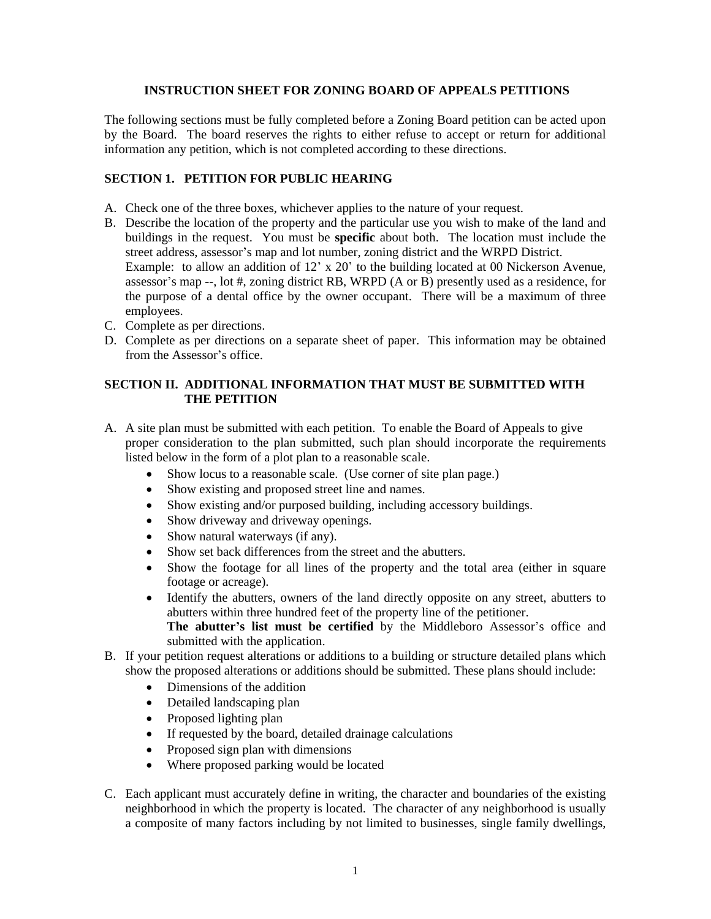## **INSTRUCTION SHEET FOR ZONING BOARD OF APPEALS PETITIONS**

The following sections must be fully completed before a Zoning Board petition can be acted upon by the Board. The board reserves the rights to either refuse to accept or return for additional information any petition, which is not completed according to these directions.

## **SECTION 1. PETITION FOR PUBLIC HEARING**

- A. Check one of the three boxes, whichever applies to the nature of your request.
- B. Describe the location of the property and the particular use you wish to make of the land and buildings in the request. You must be **specific** about both. The location must include the street address, assessor's map and lot number, zoning district and the WRPD District. Example: to allow an addition of 12' x 20' to the building located at 00 Nickerson Avenue, assessor's map --, lot #, zoning district RB, WRPD (A or B) presently used as a residence, for the purpose of a dental office by the owner occupant. There will be a maximum of three employees.
- C. Complete as per directions.
- D. Complete as per directions on a separate sheet of paper. This information may be obtained from the Assessor's office.

## **SECTION II. ADDITIONAL INFORMATION THAT MUST BE SUBMITTED WITH THE PETITION**

- A. A site plan must be submitted with each petition. To enable the Board of Appeals to give proper consideration to the plan submitted, such plan should incorporate the requirements listed below in the form of a plot plan to a reasonable scale.
	- Show locus to a reasonable scale. (Use corner of site plan page.)
	- Show existing and proposed street line and names.
	- Show existing and/or purposed building, including accessory buildings.
	- Show driveway and driveway openings.
	- Show natural waterways (if any).
	- Show set back differences from the street and the abutters.
	- Show the footage for all lines of the property and the total area (either in square footage or acreage).
	- Identify the abutters, owners of the land directly opposite on any street, abutters to abutters within three hundred feet of the property line of the petitioner.
		- **The abutter's list must be certified** by the Middleboro Assessor's office and submitted with the application.
- B. If your petition request alterations or additions to a building or structure detailed plans which show the proposed alterations or additions should be submitted. These plans should include:
	- Dimensions of the addition
	- Detailed landscaping plan
	- Proposed lighting plan
	- If requested by the board, detailed drainage calculations
	- Proposed sign plan with dimensions
	- Where proposed parking would be located
- C. Each applicant must accurately define in writing, the character and boundaries of the existing neighborhood in which the property is located. The character of any neighborhood is usually a composite of many factors including by not limited to businesses, single family dwellings,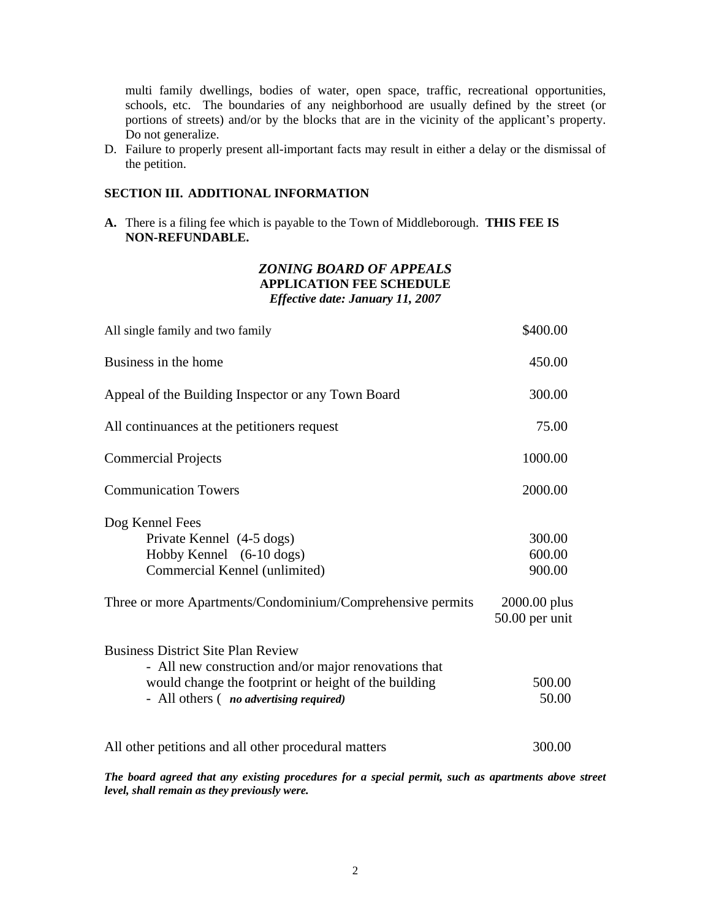multi family dwellings, bodies of water, open space, traffic, recreational opportunities, schools, etc. The boundaries of any neighborhood are usually defined by the street (or portions of streets) and/or by the blocks that are in the vicinity of the applicant's property. Do not generalize.

D. Failure to properly present all-important facts may result in either a delay or the dismissal of the petition.

### **SECTION III. ADDITIONAL INFORMATION**

**A.** There is a filing fee which is payable to the Town of Middleborough. **THIS FEE IS NON-REFUNDABLE.**

## *ZONING BOARD OF APPEALS* **APPLICATION FEE SCHEDULE** *Effective date: January 11, 2007*

| All single family and two family                                                                                                                                                                             | \$400.00                                   |
|--------------------------------------------------------------------------------------------------------------------------------------------------------------------------------------------------------------|--------------------------------------------|
| Business in the home                                                                                                                                                                                         | 450.00                                     |
| Appeal of the Building Inspector or any Town Board                                                                                                                                                           | 300.00                                     |
| All continuances at the petitioners request                                                                                                                                                                  | 75.00                                      |
| <b>Commercial Projects</b>                                                                                                                                                                                   | 1000.00                                    |
| <b>Communication Towers</b>                                                                                                                                                                                  | 2000.00                                    |
| Dog Kennel Fees<br>Private Kennel (4-5 dogs)<br>Hobby Kennel (6-10 dogs)<br>Commercial Kennel (unlimited)<br>Three or more Apartments/Condominium/Comprehensive permits                                      | 300.00<br>600.00<br>900.00<br>2000.00 plus |
| <b>Business District Site Plan Review</b><br>- All new construction and/or major renovations that<br>would change the footprint or height of the building<br>- All others ( <i>no advertising required</i> ) | $50.00$ per unit<br>500.00<br>50.00        |
| All other petitions and all other procedural matters                                                                                                                                                         | 300.00                                     |
|                                                                                                                                                                                                              |                                            |

*The board agreed that any existing procedures for a special permit, such as apartments above street level, shall remain as they previously were.*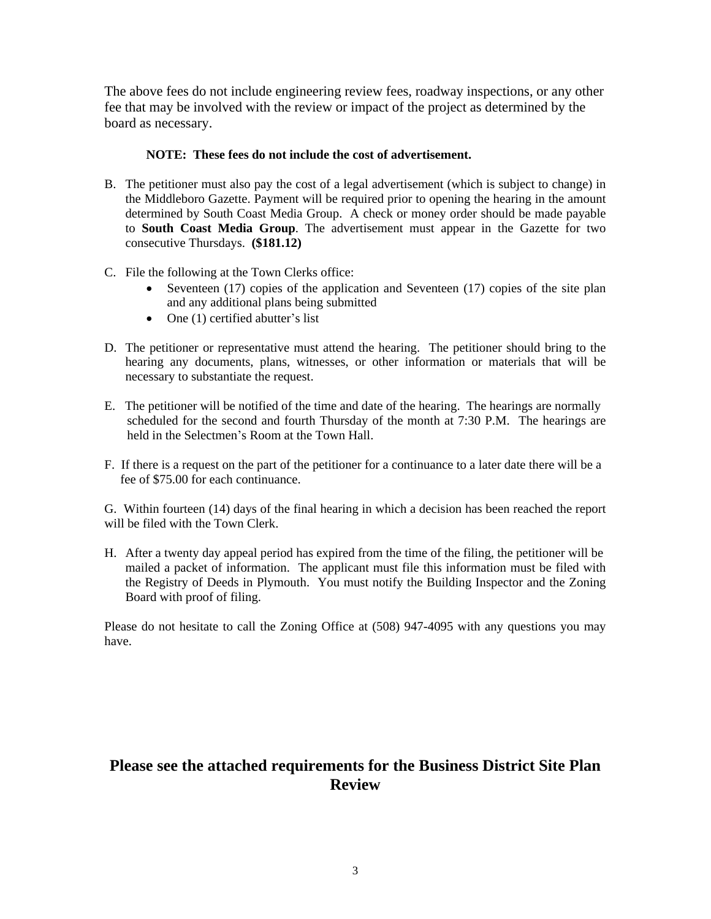The above fees do not include engineering review fees, roadway inspections, or any other fee that may be involved with the review or impact of the project as determined by the board as necessary.

## **NOTE: These fees do not include the cost of advertisement.**

- B. The petitioner must also pay the cost of a legal advertisement (which is subject to change) in the Middleboro Gazette. Payment will be required prior to opening the hearing in the amount determined by South Coast Media Group. A check or money order should be made payable to **South Coast Media Group**. The advertisement must appear in the Gazette for two consecutive Thursdays. **(\$181.12)**
- C. File the following at the Town Clerks office:
	- $\bullet$  Seventeen (17) copies of the application and Seventeen (17) copies of the site plan and any additional plans being submitted
	- $\bullet$  One (1) certified abutter's list
- D. The petitioner or representative must attend the hearing. The petitioner should bring to the hearing any documents, plans, witnesses, or other information or materials that will be necessary to substantiate the request.
- E. The petitioner will be notified of the time and date of the hearing. The hearings are normally scheduled for the second and fourth Thursday of the month at 7:30 P.M. The hearings are held in the Selectmen's Room at the Town Hall.
- F. If there is a request on the part of the petitioner for a continuance to a later date there will be a fee of \$75.00 for each continuance.

G. Within fourteen (14) days of the final hearing in which a decision has been reached the report will be filed with the Town Clerk.

H. After a twenty day appeal period has expired from the time of the filing, the petitioner will be mailed a packet of information. The applicant must file this information must be filed with the Registry of Deeds in Plymouth. You must notify the Building Inspector and the Zoning Board with proof of filing.

Please do not hesitate to call the Zoning Office at (508) 947-4095 with any questions you may have.

## **Please see the attached requirements for the Business District Site Plan Review**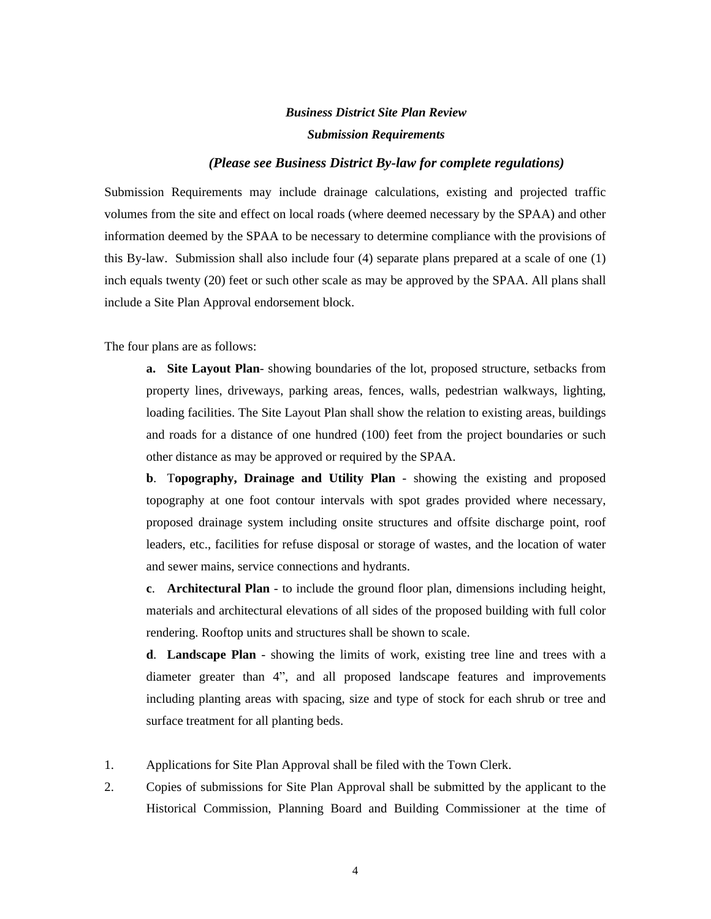# *Business District Site Plan Review Submission Requirements*

### *(Please see Business District By-law for complete regulations)*

Submission Requirements may include drainage calculations, existing and projected traffic volumes from the site and effect on local roads (where deemed necessary by the SPAA) and other information deemed by the SPAA to be necessary to determine compliance with the provisions of this By-law. Submission shall also include four (4) separate plans prepared at a scale of one (1) inch equals twenty (20) feet or such other scale as may be approved by the SPAA. All plans shall include a Site Plan Approval endorsement block.

The four plans are as follows:

**a. Site Layout Plan**- showing boundaries of the lot, proposed structure, setbacks from property lines, driveways, parking areas, fences, walls, pedestrian walkways, lighting, loading facilities. The Site Layout Plan shall show the relation to existing areas, buildings and roads for a distance of one hundred (100) feet from the project boundaries or such other distance as may be approved or required by the SPAA.

**b**. T**opography, Drainage and Utility Plan** - showing the existing and proposed topography at one foot contour intervals with spot grades provided where necessary, proposed drainage system including onsite structures and offsite discharge point, roof leaders, etc., facilities for refuse disposal or storage of wastes, and the location of water and sewer mains, service connections and hydrants.

**c**. **Architectural Plan** - to include the ground floor plan, dimensions including height, materials and architectural elevations of all sides of the proposed building with full color rendering. Rooftop units and structures shall be shown to scale.

**d**. **Landscape Plan** - showing the limits of work, existing tree line and trees with a diameter greater than 4", and all proposed landscape features and improvements including planting areas with spacing, size and type of stock for each shrub or tree and surface treatment for all planting beds.

- 1. Applications for Site Plan Approval shall be filed with the Town Clerk.
- 2. Copies of submissions for Site Plan Approval shall be submitted by the applicant to the Historical Commission, Planning Board and Building Commissioner at the time of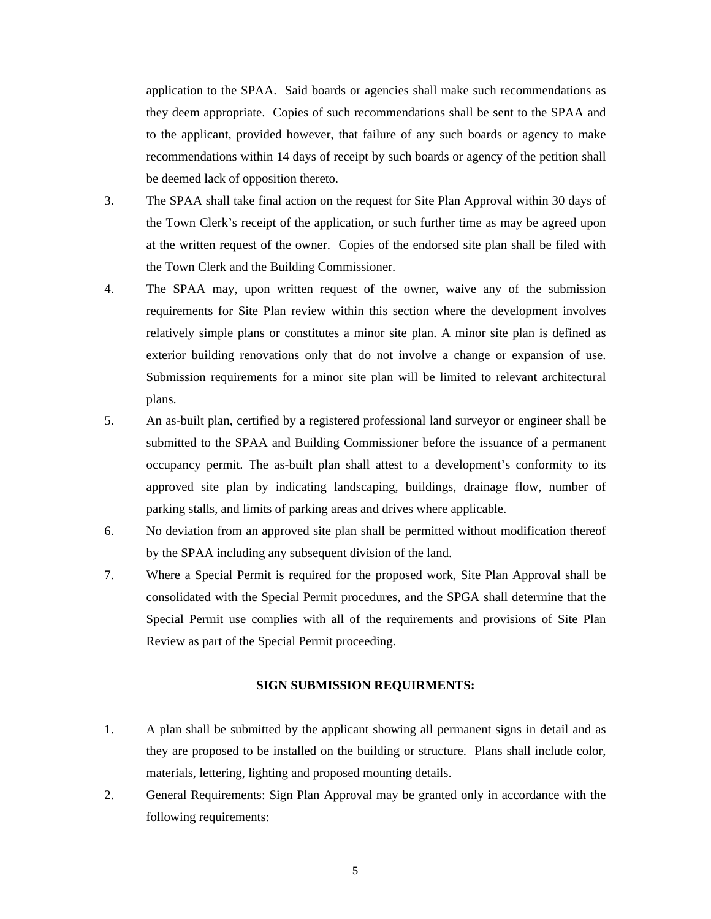application to the SPAA. Said boards or agencies shall make such recommendations as they deem appropriate. Copies of such recommendations shall be sent to the SPAA and to the applicant, provided however, that failure of any such boards or agency to make recommendations within 14 days of receipt by such boards or agency of the petition shall be deemed lack of opposition thereto.

- 3. The SPAA shall take final action on the request for Site Plan Approval within 30 days of the Town Clerk's receipt of the application, or such further time as may be agreed upon at the written request of the owner. Copies of the endorsed site plan shall be filed with the Town Clerk and the Building Commissioner.
- 4. The SPAA may, upon written request of the owner, waive any of the submission requirements for Site Plan review within this section where the development involves relatively simple plans or constitutes a minor site plan. A minor site plan is defined as exterior building renovations only that do not involve a change or expansion of use. Submission requirements for a minor site plan will be limited to relevant architectural plans.
- 5. An as-built plan, certified by a registered professional land surveyor or engineer shall be submitted to the SPAA and Building Commissioner before the issuance of a permanent occupancy permit. The as-built plan shall attest to a development's conformity to its approved site plan by indicating landscaping, buildings, drainage flow, number of parking stalls, and limits of parking areas and drives where applicable.
- 6. No deviation from an approved site plan shall be permitted without modification thereof by the SPAA including any subsequent division of the land.
- 7. Where a Special Permit is required for the proposed work, Site Plan Approval shall be consolidated with the Special Permit procedures, and the SPGA shall determine that the Special Permit use complies with all of the requirements and provisions of Site Plan Review as part of the Special Permit proceeding.

#### **SIGN SUBMISSION REQUIRMENTS:**

- 1. A plan shall be submitted by the applicant showing all permanent signs in detail and as they are proposed to be installed on the building or structure. Plans shall include color, materials, lettering, lighting and proposed mounting details.
- 2. General Requirements: Sign Plan Approval may be granted only in accordance with the following requirements: